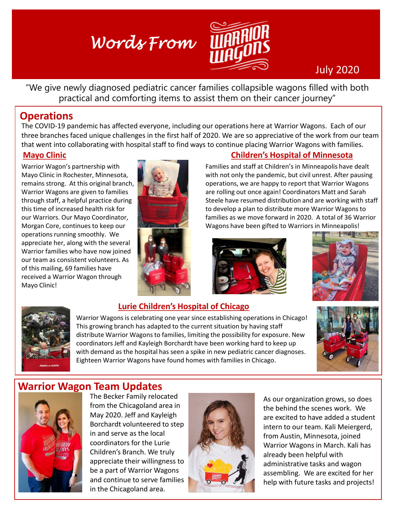# *Words From*



## July 2020

"We give newly diagnosed pediatric cancer families collapsible wagons filled with both practical and comforting items to assist them on their cancer journey"

### **Operations**

The COVID-19 pandemic has affected everyone, including our operations here at Warrior Wagons. Each of our three branches faced unique challenges in the first half of 2020. We are so appreciative of the work from our team that went into collaborating with hospital staff to find ways to continue placing Warrior Wagons with families.

#### **Mayo Clinic**

Warrior Wagon's partnership with Mayo Clinic in Rochester, Minnesota, remains strong. At this original branch, Warrior Wagons are given to families through staff, a helpful practice during this time of increased health risk for our Warriors. Our Mayo Coordinator, Morgan Core, continues to keep our operations running smoothly. We appreciate her, along with the several Warrior families who have now joined our team as consistent volunteers. As of this mailing, 69 families have received a Warrior Wagon through Mayo Clinic!



#### **Children's Hospital of Minnesota**

Families and staff at Children's in Minneapolis have dealt with not only the pandemic, but civil unrest. After pausing operations, we are happy to report that Warrior Wagons are rolling out once again! Coordinators Matt and Sarah Steele have resumed distribution and are working with staff to develop a plan to distribute more Warrior Wagons to families as we move forward in 2020. A total of 36 Warrior Wagons have been gifted to Warriors in Minneapolis!







# **Lurie Children's Hospital of Chicago**

Warrior Wagons is celebrating one year since establishing operations in Chicago! This growing branch has adapted to the current situation by having staff distribute Warrior Wagons to families, limiting the possibility for exposure. New coordinators Jeff and Kayleigh Borchardt have been working hard to keep up with demand as the hospital has seen a spike in new pediatric cancer diagnoses. Eighteen Warrior Wagons have found homes with families in Chicago.



### **Warrior Wagon Team Updates**



The Becker Family relocated from the Chicagoland area in May 2020. Jeff and Kayleigh Borchardt volunteered to step in and serve as the local coordinators for the Lurie Children's Branch. We truly appreciate their willingness to be a part of Warrior Wagons and continue to serve families in the Chicagoland area.



As our organization grows, so does the behind the scenes work. We are excited to have added a student intern to our team. Kali Meiergerd, from Austin, Minnesota, joined Warrior Wagons in March. Kali has already been helpful with administrative tasks and wagon assembling. We are excited for her help with future tasks and projects!